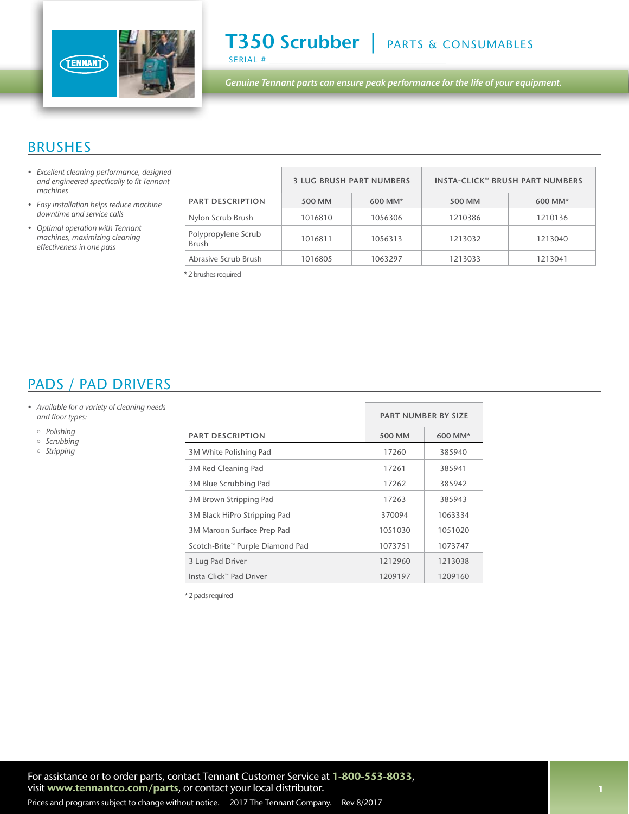

*Genuine Tennant parts can ensure peak performance for the life of your equipment.*

#### BRUSHES

- *• Excellent cleaning performance, designed*  and engineered specifically to fit Tennant *machines*
- Easy installation helps reduce machine *downtime and service calls*
- Optimal operation with Tennant *machines, maximizing cleaning*  effectiveness in one pass

|                                     | <b>3 LUG BRUSH PART NUMBERS</b> |         | <b>INSTA-CLICK™ BRUSH PART NUMBERS</b> |         |
|-------------------------------------|---------------------------------|---------|----------------------------------------|---------|
| <b>PART DESCRIPTION</b>             | 500 MM                          | 600 MM* | 500 MM                                 | 600 MM* |
| Nylon Scrub Brush                   | 1016810                         | 1056306 | 1210386                                | 1210136 |
| Polypropylene Scrub<br><b>Brush</b> | 1016811                         | 1056313 | 1213032                                | 1213040 |
| Abrasive Scrub Brush                | 1016805                         | 1063297 | 1213033                                | 1213041 |

\* 2 brushes required

### PADS / PAD DRIVERS

- Available for a variety of cleaning needs and floor types:
	- *Polishing*
	- o Scrubbing
	- *Stripping*

|                                  |               | <b>PART NUMBER BY SIZE</b> |  |  |
|----------------------------------|---------------|----------------------------|--|--|
| <b>PART DESCRIPTION</b>          | <b>500 MM</b> | 600 MM*                    |  |  |
| 3M White Polishing Pad           | 17260         | 385940                     |  |  |
| 3M Red Cleaning Pad              | 17261         | 385941                     |  |  |
| 3M Blue Scrubbing Pad            | 17262         | 385942                     |  |  |
| 3M Brown Stripping Pad           | 17263         | 385943                     |  |  |
| 3M Black HiPro Stripping Pad     | 370094        | 1063334                    |  |  |
| 3M Maroon Surface Prep Pad       | 1051030       | 1051020                    |  |  |
| Scotch-Brite™ Purple Diamond Pad | 1073751       | 1073747                    |  |  |
| 3 Lug Pad Driver                 | 1212960       | 1213038                    |  |  |
| Insta-Click™ Pad Driver          | 1209197       | 1209160                    |  |  |

\* 2 pads required

For assistance or to order parts, contact Tennant Customer Service at 1-800-553-8033, visit www.tennantco.com/parts, or contact your local distributor.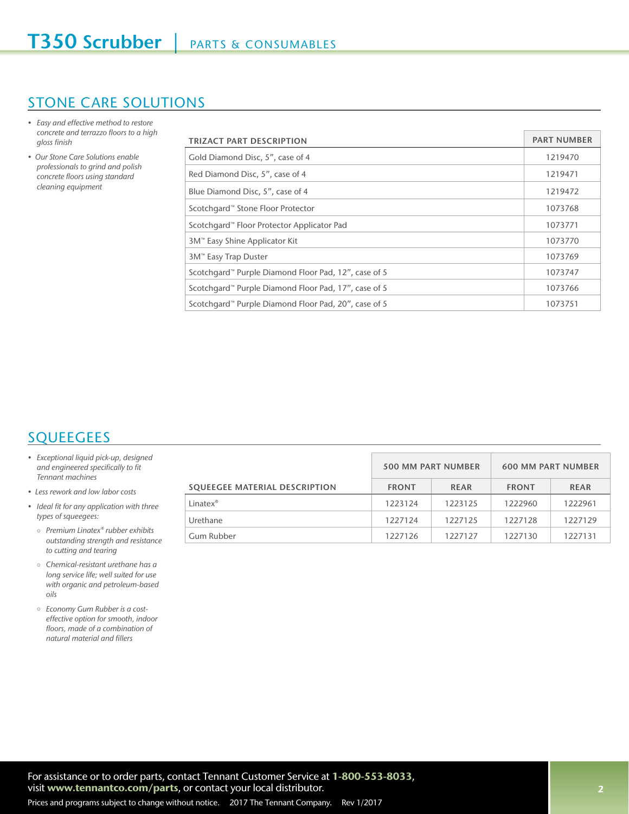### STONE CARE SOLUTIONS

- Easy and effective method to restore concrete and terrazzo floors to a high gloss finish
- Our Stone Care Solutions enable *professionals to grind and polish*  concrete floors using standard cleaning equipment

| TRIZACT PART DESCRIPTION                             | <b>PART NUMBER</b> |
|------------------------------------------------------|--------------------|
| Gold Diamond Disc, 5", case of 4                     | 1219470            |
| Red Diamond Disc, 5", case of 4                      | 1219471            |
| Blue Diamond Disc, 5", case of 4                     | 1219472            |
| Scotchgard™ Stone Floor Protector                    | 1073768            |
| Scotchgard™ Floor Protector Applicator Pad           | 1073771            |
| 3M™ Easy Shine Applicator Kit                        | 1073770            |
| 3M™ Easy Trap Duster                                 | 1073769            |
| Scotchgard™ Purple Diamond Floor Pad, 12", case of 5 | 1073747            |
| Scotchgard™ Purple Diamond Floor Pad, 17", case of 5 | 1073766            |
| Scotchgard™ Purple Diamond Floor Pad, 20", case of 5 | 1073751            |

# **SQUEEGEES**

- Exceptional liquid pick-up, designed and engineered specifically to fit Tennant machines
- Less rework and low labor costs
- Ideal fit for any application with three types of squeegees:
	- Premium Linatex® rubber exhibits outstanding strength and resistance to cutting and tearing
	- $\circ$  Chemical-resistant urethane has a long service life; well suited for use with organic and petroleum-based *oils*
	- Economy Gum Rubber is a costeffective option for smooth, indoor floors, made of a combination of natural material and fillers

|                               | <b>500 MM PART NUMBER</b> |             | <b>600 MM PART NUMBER</b> |             |
|-------------------------------|---------------------------|-------------|---------------------------|-------------|
| SQUEEGEE MATERIAL DESCRIPTION | <b>FRONT</b>              | <b>REAR</b> | <b>FRONT</b>              | <b>REAR</b> |
| Linatex <sup>®</sup>          | 1223124                   | 1223125     | 1222960                   | 1222961     |
| Urethane                      | 1227124                   | 1227125     | 1227128                   | 1227129     |
| Gum Rubber                    | 1227126                   | 1227127     | 1227130                   | 1227131     |

For assistance or to order parts, contact Tennant Customer Service at 1-800-553-8033, visit www.tennantco.com/parts, or contact your local distributor.